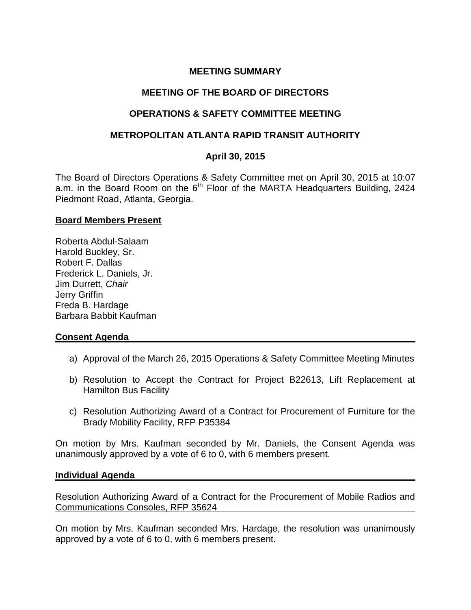# **MEETING SUMMARY**

## **MEETING OF THE BOARD OF DIRECTORS**

## **OPERATIONS & SAFETY COMMITTEE MEETING**

### **METROPOLITAN ATLANTA RAPID TRANSIT AUTHORITY**

## **April 30, 2015**

The Board of Directors Operations & Safety Committee met on April 30, 2015 at 10:07 a.m. in the Board Room on the  $6<sup>th</sup>$  Floor of the MARTA Headquarters Building, 2424 Piedmont Road, Atlanta, Georgia.

### **Board Members Present**

Roberta Abdul-Salaam Harold Buckley, Sr. Robert F. Dallas Frederick L. Daniels, Jr. Jim Durrett, *Chair*  Jerry Griffin Freda B. Hardage Barbara Babbit Kaufman

### **Consent Agenda**

- a) Approval of the March 26, 2015 Operations & Safety Committee Meeting Minutes
- b) Resolution to Accept the Contract for Project B22613, Lift Replacement at Hamilton Bus Facility
- c) Resolution Authorizing Award of a Contract for Procurement of Furniture for the Brady Mobility Facility, RFP P35384

On motion by Mrs. Kaufman seconded by Mr. Daniels, the Consent Agenda was unanimously approved by a vote of 6 to 0, with 6 members present.

### **Individual Agenda**

Resolution Authorizing Award of a Contract for the Procurement of Mobile Radios and Communications Consoles, RFP 35624

On motion by Mrs. Kaufman seconded Mrs. Hardage, the resolution was unanimously approved by a vote of 6 to 0, with 6 members present.